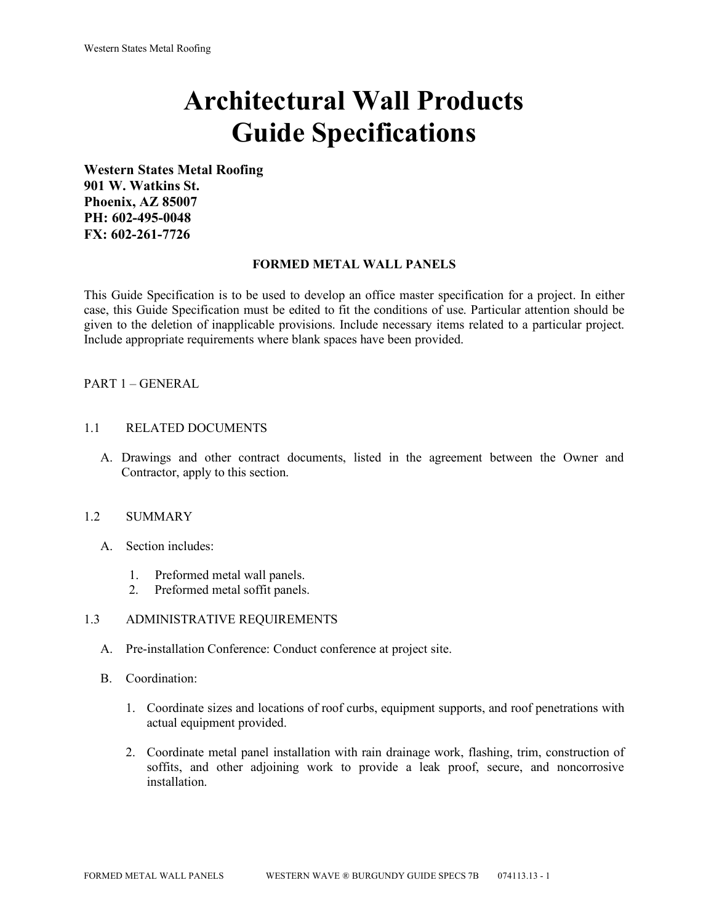# **Architectural Wall Products Guide Specifications**

**Western States Metal Roofing 901 W. Watkins St. Phoenix, AZ 85007 PH: 602-495-0048 FX: 602-261-7726**

#### **FORMED METAL WALL PANELS**

This Guide Specification is to be used to develop an office master specification for a project. In either case, this Guide Specification must be edited to fit the conditions of use. Particular attention should be given to the deletion of inapplicable provisions. Include necessary items related to a particular project. Include appropriate requirements where blank spaces have been provided.

## PART 1 – GENERAL

#### 1.1 RELATED DOCUMENTS

A. Drawings and other contract documents, listed in the agreement between the Owner and Contractor, apply to this section.

#### 1.2 SUMMARY

- A. Section includes:
	- 1. Preformed metal wall panels.
	- 2. Preformed metal soffit panels.

#### 1.3 ADMINISTRATIVE REQUIREMENTS

- A. Pre-installation Conference: Conduct conference at project site.
- B. Coordination:
	- 1. Coordinate sizes and locations of roof curbs, equipment supports, and roof penetrations with actual equipment provided.
	- 2. Coordinate metal panel installation with rain drainage work, flashing, trim, construction of soffits, and other adjoining work to provide a leak proof, secure, and noncorrosive installation.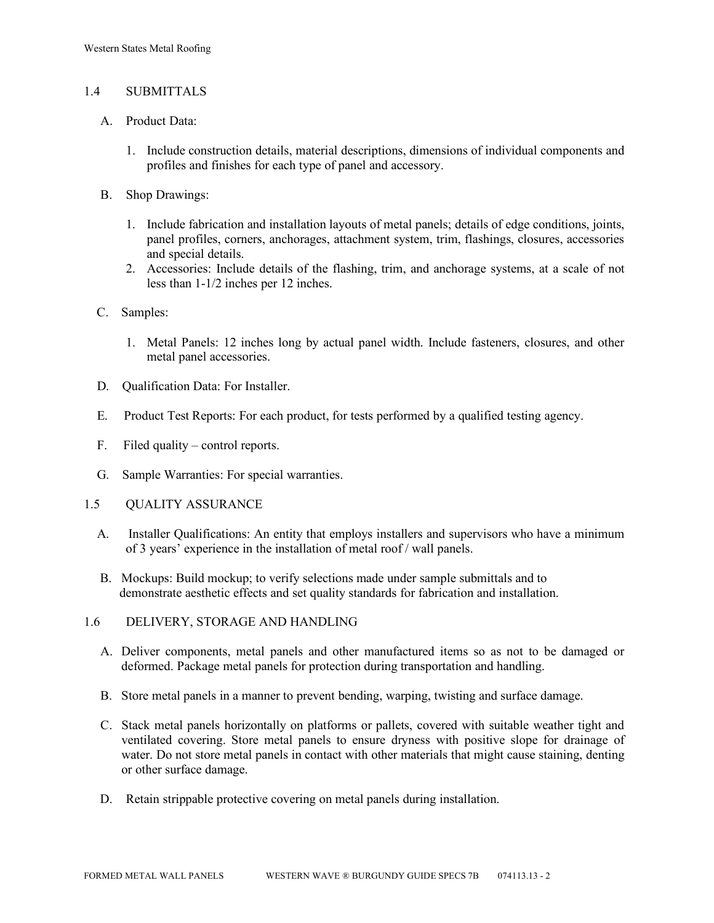## 1.4 SUBMITTALS

- A. Product Data:
	- 1. Include construction details, material descriptions, dimensions of individual components and profiles and finishes for each type of panel and accessory.
- B. Shop Drawings:
	- 1. Include fabrication and installation layouts of metal panels; details of edge conditions, joints, panel profiles, corners, anchorages, attachment system, trim, flashings, closures, accessories and special details.
	- 2. Accessories: Include details of the flashing, trim, and anchorage systems, at a scale of not less than 1-1/2 inches per 12 inches.
- C. Samples:
	- 1. Metal Panels: 12 inches long by actual panel width. Include fasteners, closures, and other metal panel accessories.
- D. Qualification Data: For Installer.
- E. Product Test Reports: For each product, for tests performed by a qualified testing agency.
- F. Filed quality control reports.
- G. Sample Warranties: For special warranties.
- 1.5 QUALITY ASSURANCE
	- A. Installer Qualifications: An entity that employs installers and supervisors who have a minimum of 3 years' experience in the installation of metal roof / wall panels.
	- B. Mockups: Build mockup; to verify selections made under sample submittals and to demonstrate aesthetic effects and set quality standards for fabrication and installation.
- 1.6 DELIVERY, STORAGE AND HANDLING
	- A. Deliver components, metal panels and other manufactured items so as not to be damaged or deformed. Package metal panels for protection during transportation and handling.
	- B. Store metal panels in a manner to prevent bending, warping, twisting and surface damage.
	- C. Stack metal panels horizontally on platforms or pallets, covered with suitable weather tight and ventilated covering. Store metal panels to ensure dryness with positive slope for drainage of water. Do not store metal panels in contact with other materials that might cause staining, denting or other surface damage.
	- D. Retain strippable protective covering on metal panels during installation.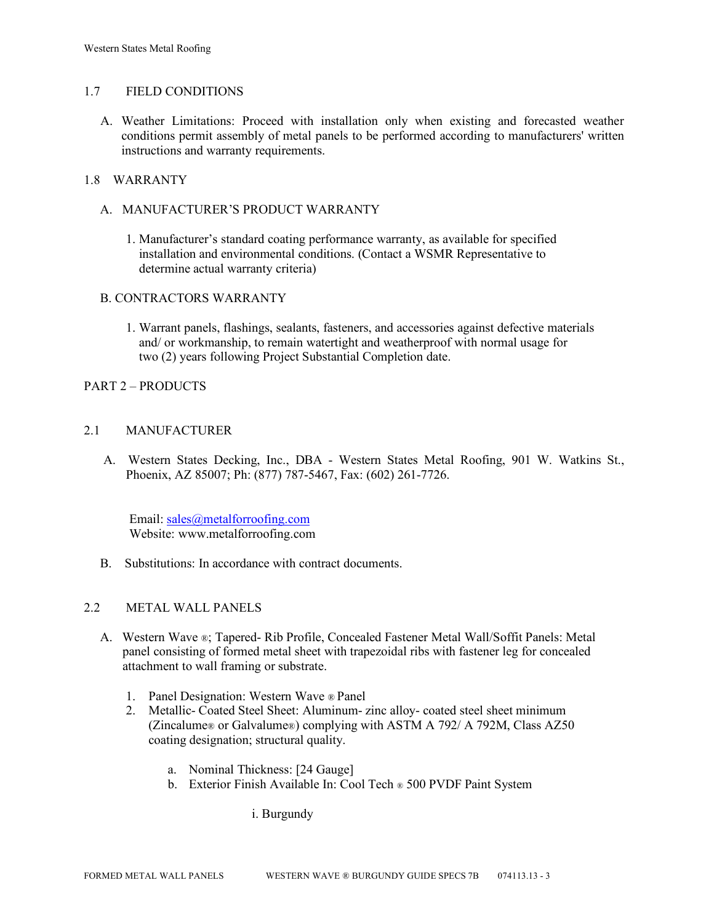## 1.7 FIELD CONDITIONS

A. Weather Limitations: Proceed with installation only when existing and forecasted weather conditions permit assembly of metal panels to be performed according to manufacturers' written instructions and warranty requirements.

## 1.8 WARRANTY

## A. MANUFACTURER'S PRODUCT WARRANTY

1. Manufacturer's standard coating performance warranty, as available for specified installation and environmental conditions. (Contact a WSMR Representative to determine actual warranty criteria)

## B. CONTRACTORS WARRANTY

1. Warrant panels, flashings, sealants, fasteners, and accessories against defective materials and/ or workmanship, to remain watertight and weatherproof with normal usage for two (2) years following Project Substantial Completion date.

## PART 2 – PRODUCTS

## 2.1 MANUFACTURER

 A. Western States Decking, Inc., DBA - Western States Metal Roofing, 901 W. Watkins St., Phoenix, AZ 85007; Ph: (877) 787-5467, Fax: (602) 261-7726.

Email: [sales@metalforroofing.com](mailto:sales@metalforroofing.com) Website: www.metalforroofing.com

B. Substitutions: In accordance with contract documents.

#### 2.2 METAL WALL PANELS

- A. Western Wave ®; Tapered- Rib Profile, Concealed Fastener Metal Wall/Soffit Panels: Metal panel consisting of formed metal sheet with trapezoidal ribs with fastener leg for concealed attachment to wall framing or substrate.
	- 1. Panel Designation: Western Wave ® Panel
	- 2. Metallic- Coated Steel Sheet: Aluminum- zinc alloy- coated steel sheet minimum (Zincalume® or Galvalume®) complying with ASTM A 792/ A 792M, Class AZ50 coating designation; structural quality.
		- a. Nominal Thickness: [24 Gauge]
		- b. Exterior Finish Available In: Cool Tech ® 500 PVDF Paint System

i. Burgundy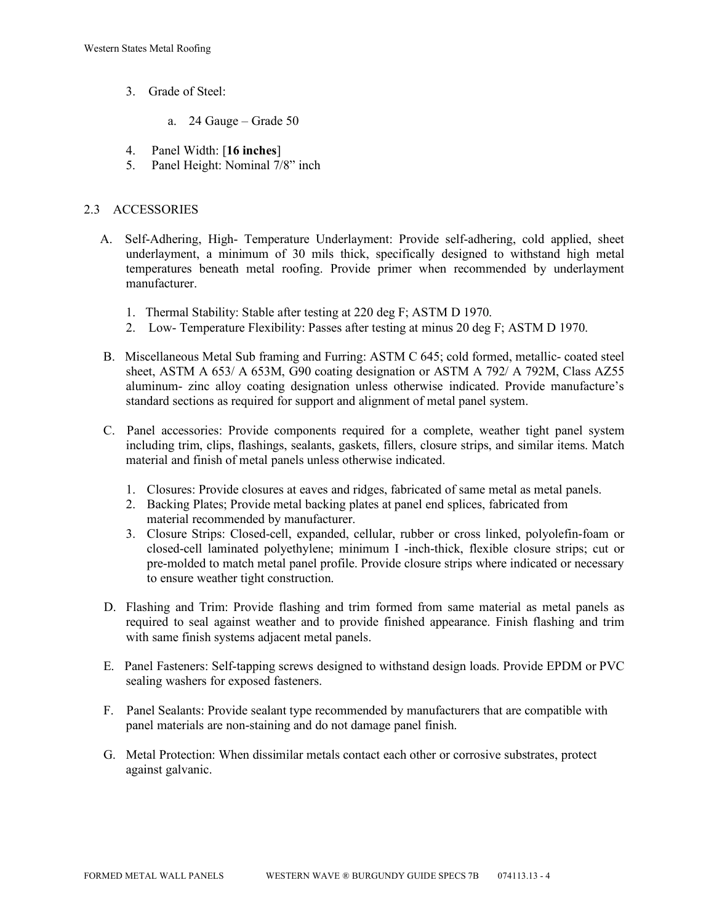- 3. Grade of Steel:
	- a. 24 Gauge Grade 50
- 4. Panel Width: [**16 inches**]
- 5. Panel Height: Nominal 7/8" inch

# 2.3 ACCESSORIES

- A. Self-Adhering, High- Temperature Underlayment: Provide self-adhering, cold applied, sheet underlayment, a minimum of 30 mils thick, specifically designed to withstand high metal temperatures beneath metal roofing. Provide primer when recommended by underlayment manufacturer.
	- 1. Thermal Stability: Stable after testing at 220 deg F; ASTM D 1970.
	- 2. Low- Temperature Flexibility: Passes after testing at minus 20 deg F; ASTM D 1970.
- B. Miscellaneous Metal Sub framing and Furring: ASTM C 645; cold formed, metallic- coated steel sheet, ASTM A 653/ A 653M, G90 coating designation or ASTM A 792/ A 792M, Class AZ55 aluminum- zinc alloy coating designation unless otherwise indicated. Provide manufacture's standard sections as required for support and alignment of metal panel system.
- C. Panel accessories: Provide components required for a complete, weather tight panel system including trim, clips, flashings, sealants, gaskets, fillers, closure strips, and similar items. Match material and finish of metal panels unless otherwise indicated.
	- 1. Closures: Provide closures at eaves and ridges, fabricated of same metal as metal panels.
	- 2. Backing Plates; Provide metal backing plates at panel end splices, fabricated from material recommended by manufacturer.
	- 3. Closure Strips: Closed-cell, expanded, cellular, rubber or cross linked, polyolefin-foam or closed-cell laminated polyethylene; minimum I -inch-thick, flexible closure strips; cut or pre-molded to match metal panel profile. Provide closure strips where indicated or necessary to ensure weather tight construction.
- D. Flashing and Trim: Provide flashing and trim formed from same material as metal panels as required to seal against weather and to provide finished appearance. Finish flashing and trim with same finish systems adjacent metal panels.
- E. Panel Fasteners: Self-tapping screws designed to withstand design loads. Provide EPDM or PVC sealing washers for exposed fasteners.
- F. Panel Sealants: Provide sealant type recommended by manufacturers that are compatible with panel materials are non-staining and do not damage panel finish.
- G. Metal Protection: When dissimilar metals contact each other or corrosive substrates, protect against galvanic.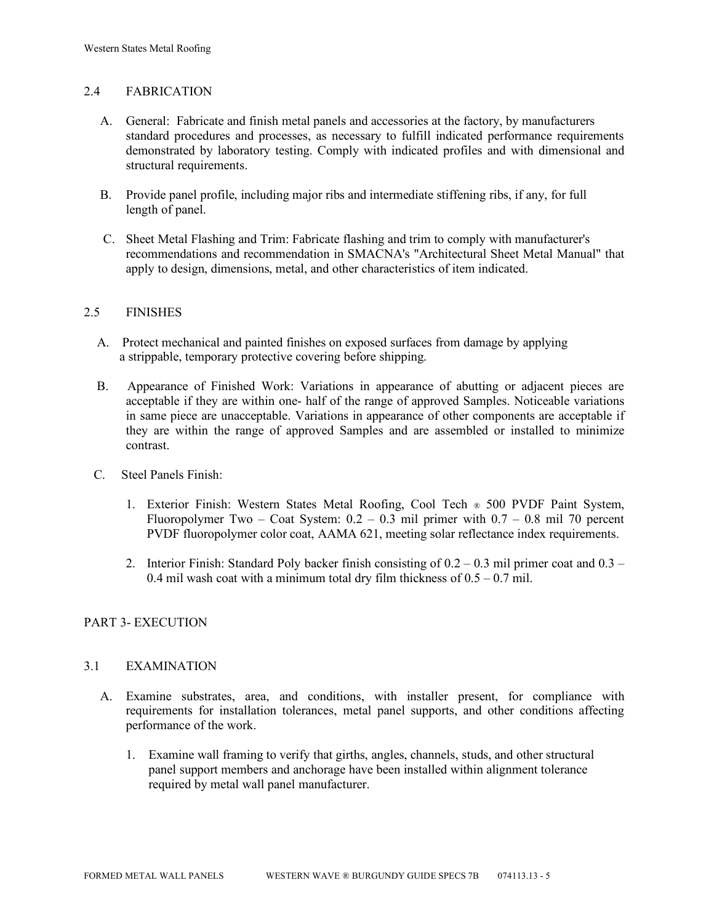# 2.4 FABRICATION

- A. General: Fabricate and finish metal panels and accessories at the factory, by manufacturers standard procedures and processes, as necessary to fulfill indicated performance requirements demonstrated by laboratory testing. Comply with indicated profiles and with dimensional and structural requirements.
- B. Provide panel profile, including major ribs and intermediate stiffening ribs, if any, for full length of panel.
- C. Sheet Metal Flashing and Trim: Fabricate flashing and trim to comply with manufacturer's recommendations and recommendation in SMACNA's "Architectural Sheet Metal Manual" that apply to design, dimensions, metal, and other characteristics of item indicated.

## 2.5 FINISHES

- A. Protect mechanical and painted finishes on exposed surfaces from damage by applying a strippable, temporary protective covering before shipping.
- B. Appearance of Finished Work: Variations in appearance of abutting or adjacent pieces are acceptable if they are within one- half of the range of approved Samples. Noticeable variations in same piece are unacceptable. Variations in appearance of other components are acceptable if they are within the range of approved Samples and are assembled or installed to minimize contrast.
- C. Steel Panels Finish:
	- 1. Exterior Finish: Western States Metal Roofing, Cool Tech ® 500 PVDF Paint System, Fluoropolymer Two – Coat System:  $0.2 - 0.3$  mil primer with  $0.7 - 0.8$  mil 70 percent PVDF fluoropolymer color coat, AAMA 621, meeting solar reflectance index requirements.
	- 2. Interior Finish: Standard Poly backer finish consisting of  $0.2 0.3$  mil primer coat and  $0.3 -$ 0.4 mil wash coat with a minimum total dry film thickness of  $0.5 - 0.7$  mil.

# PART 3- EXECUTION

# 3.1 EXAMINATION

- A. Examine substrates, area, and conditions, with installer present, for compliance with requirements for installation tolerances, metal panel supports, and other conditions affecting performance of the work.
	- 1. Examine wall framing to verify that girths, angles, channels, studs, and other structural panel support members and anchorage have been installed within alignment tolerance required by metal wall panel manufacturer.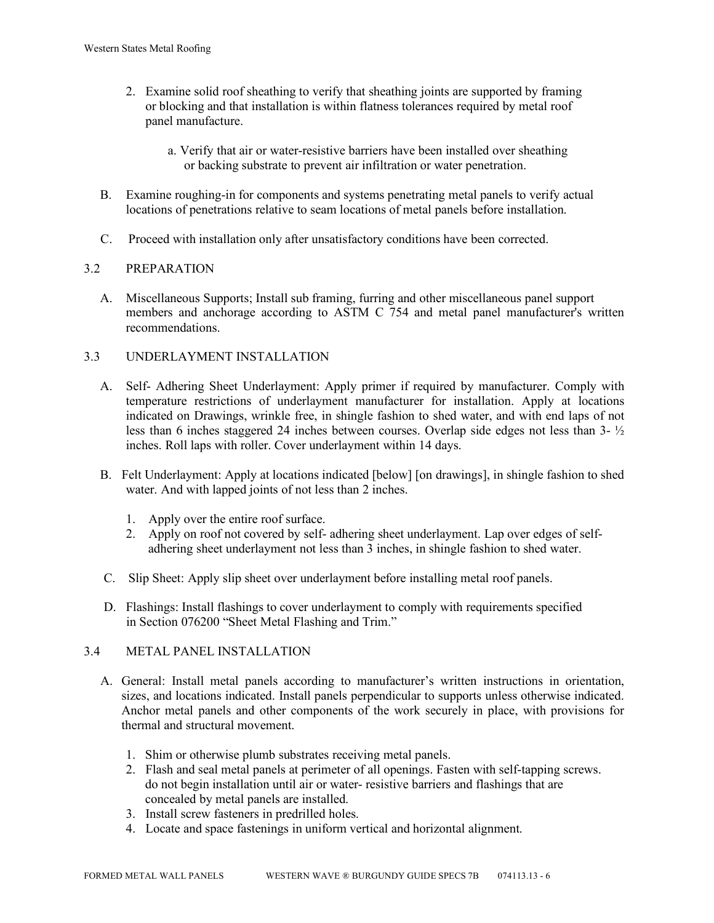- 2. Examine solid roof sheathing to verify that sheathing joints are supported by framing or blocking and that installation is within flatness tolerances required by metal roof panel manufacture.
	- a. Verify that air or water-resistive barriers have been installed over sheathing or backing substrate to prevent air infiltration or water penetration.
- B. Examine roughing-in for components and systems penetrating metal panels to verify actual locations of penetrations relative to seam locations of metal panels before installation.
- C. Proceed with installation only after unsatisfactory conditions have been corrected.

# 3.2 PREPARATION

 A. Miscellaneous Supports; Install sub framing, furring and other miscellaneous panel support members and anchorage according to ASTM C 754 and metal panel manufacturer's written recommendations.

# 3.3 UNDERLAYMENT INSTALLATION

- A. Self- Adhering Sheet Underlayment: Apply primer if required by manufacturer. Comply with temperature restrictions of underlayment manufacturer for installation. Apply at locations indicated on Drawings, wrinkle free, in shingle fashion to shed water, and with end laps of not less than 6 inches staggered 24 inches between courses. Overlap side edges not less than  $3-<sup>1</sup>/<sub>2</sub>$ inches. Roll laps with roller. Cover underlayment within 14 days.
- B. Felt Underlayment: Apply at locations indicated [below] [on drawings], in shingle fashion to shed water. And with lapped joints of not less than 2 inches.
	- 1. Apply over the entire roof surface.
	- 2. Apply on roof not covered by self- adhering sheet underlayment. Lap over edges of self adhering sheet underlayment not less than 3 inches, in shingle fashion to shed water.
- C. Slip Sheet: Apply slip sheet over underlayment before installing metal roof panels.
- D. Flashings: Install flashings to cover underlayment to comply with requirements specified in Section 076200 "Sheet Metal Flashing and Trim."

# 3.4 METAL PANEL INSTALLATION

- A. General: Install metal panels according to manufacturer's written instructions in orientation, sizes, and locations indicated. Install panels perpendicular to supports unless otherwise indicated. Anchor metal panels and other components of the work securely in place, with provisions for thermal and structural movement.
	- 1. Shim or otherwise plumb substrates receiving metal panels.
	- 2. Flash and seal metal panels at perimeter of all openings. Fasten with self-tapping screws. do not begin installation until air or water- resistive barriers and flashings that are concealed by metal panels are installed.
	- 3. Install screw fasteners in predrilled holes.
	- 4. Locate and space fastenings in uniform vertical and horizontal alignment.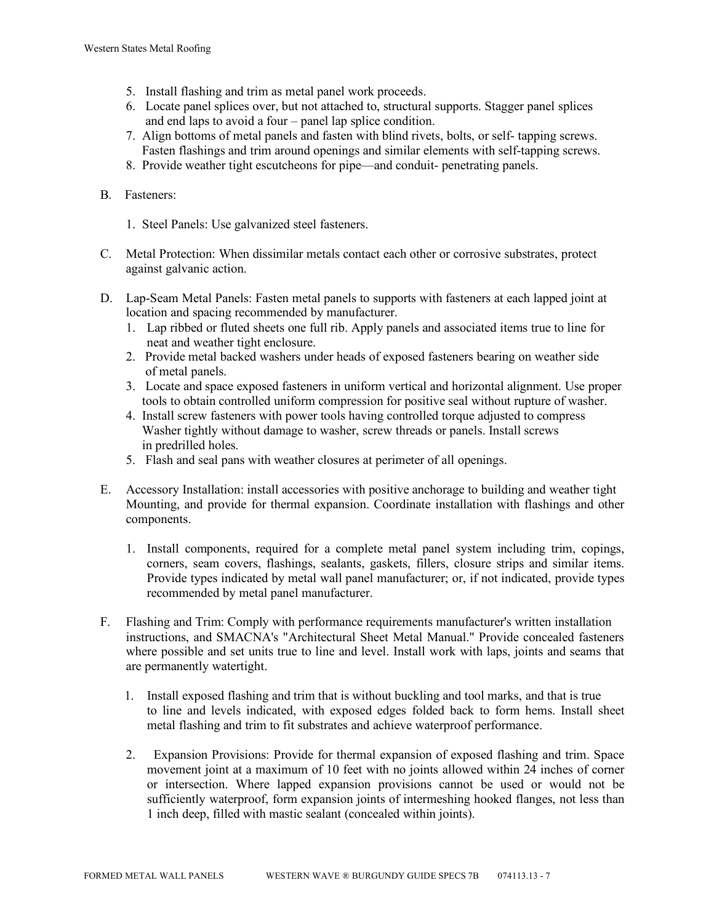- 5. Install flashing and trim as metal panel work proceeds.
- 6. Locate panel splices over, but not attached to, structural supports. Stagger panel splices and end laps to avoid a four – panel lap splice condition.
- 7. Align bottoms of metal panels and fasten with blind rivets, bolts, or self- tapping screws. Fasten flashings and trim around openings and similar elements with self-tapping screws.
- 8. Provide weather tight escutcheons for pipe—and conduit- penetrating panels.

## B. Fasteners:

- 1. Steel Panels: Use galvanized steel fasteners.
- C. Metal Protection: When dissimilar metals contact each other or corrosive substrates, protect against galvanic action.
- D. Lap-Seam Metal Panels: Fasten metal panels to supports with fasteners at each lapped joint at location and spacing recommended by manufacturer.
	- 1. Lap ribbed or fluted sheets one full rib. Apply panels and associated items true to line for neat and weather tight enclosure.
	- 2. Provide metal backed washers under heads of exposed fasteners bearing on weather side of metal panels.
	- 3. Locate and space exposed fasteners in uniform vertical and horizontal alignment. Use proper tools to obtain controlled uniform compression for positive seal without rupture of washer.
	- 4. Install screw fasteners with power tools having controlled torque adjusted to compress Washer tightly without damage to washer, screw threads or panels. Install screws in predrilled holes.
	- 5. Flash and seal pans with weather closures at perimeter of all openings.
- E. Accessory Installation: install accessories with positive anchorage to building and weather tight Mounting, and provide for thermal expansion. Coordinate installation with flashings and other components.
	- 1. Install components, required for a complete metal panel system including trim, copings, corners, seam covers, flashings, sealants, gaskets, fillers, closure strips and similar items. Provide types indicated by metal wall panel manufacturer; or, if not indicated, provide types recommended by metal panel manufacturer.
- F. Flashing and Trim: Comply with performance requirements manufacturer's written installation instructions, and SMACNA's "Architectural Sheet Metal Manual." Provide concealed fasteners where possible and set units true to line and level. Install work with laps, joints and seams that are permanently watertight.
	- 1. Install exposed flashing and trim that is without buckling and tool marks, and that is true to line and levels indicated, with exposed edges folded back to form hems. Install sheet metal flashing and trim to fit substrates and achieve waterproof performance.
	- 2. Expansion Provisions: Provide for thermal expansion of exposed flashing and trim. Space movement joint at a maximum of 10 feet with no joints allowed within 24 inches of corner or intersection. Where lapped expansion provisions cannot be used or would not be sufficiently waterproof, form expansion joints of intermeshing hooked flanges, not less than 1 inch deep, filled with mastic sealant (concealed within joints).